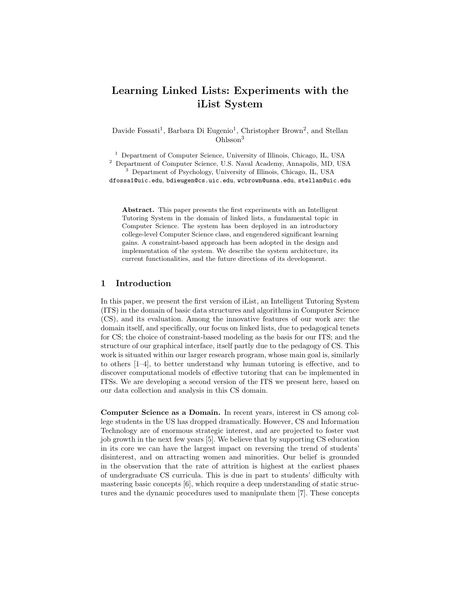# Learning Linked Lists: Experiments with the iList System

Davide Fossati<sup>1</sup>, Barbara Di Eugenio<sup>1</sup>, Christopher Brown<sup>2</sup>, and Stellan Ohlsson<sup>3</sup>

<sup>1</sup> Department of Computer Science, University of Illinois, Chicago, IL, USA

<sup>2</sup> Department of Computer Science, U.S. Naval Academy, Annapolis, MD, USA

<sup>3</sup> Department of Psychology, University of Illinois, Chicago, IL, USA

dfossa1@uic.edu, bdieugen@cs.uic.edu, wcbrown@usna.edu, stellan@uic.edu

Abstract. This paper presents the first experiments with an Intelligent Tutoring System in the domain of linked lists, a fundamental topic in Computer Science. The system has been deployed in an introductory college-level Computer Science class, and engendered significant learning gains. A constraint-based approach has been adopted in the design and implementation of the system. We describe the system architecture, its current functionalities, and the future directions of its development.

## 1 Introduction

In this paper, we present the first version of iList, an Intelligent Tutoring System (ITS) in the domain of basic data structures and algorithms in Computer Science (CS), and its evaluation. Among the innovative features of our work are: the domain itself, and specifically, our focus on linked lists, due to pedagogical tenets for CS; the choice of constraint-based modeling as the basis for our ITS; and the structure of our graphical interface, itself partly due to the pedagogy of CS. This work is situated within our larger research program, whose main goal is, similarly to others [1–4], to better understand why human tutoring is effective, and to discover computational models of effective tutoring that can be implemented in ITSs. We are developing a second version of the ITS we present here, based on our data collection and analysis in this CS domain.

Computer Science as a Domain. In recent years, interest in CS among college students in the US has dropped dramatically. However, CS and Information Technology are of enormous strategic interest, and are projected to foster vast job growth in the next few years [5]. We believe that by supporting CS education in its core we can have the largest impact on reversing the trend of students' disinterest, and on attracting women and minorities. Our belief is grounded in the observation that the rate of attrition is highest at the earliest phases of undergraduate CS curricula. This is due in part to students' difficulty with mastering basic concepts [6], which require a deep understanding of static structures and the dynamic procedures used to manipulate them [7]. These concepts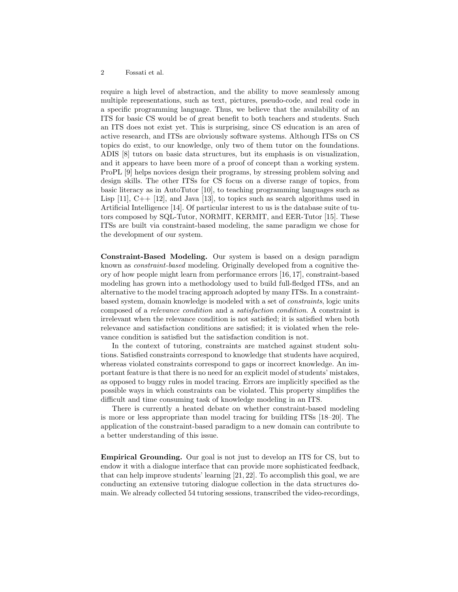require a high level of abstraction, and the ability to move seamlessly among multiple representations, such as text, pictures, pseudo-code, and real code in a specific programming language. Thus, we believe that the availability of an ITS for basic CS would be of great benefit to both teachers and students. Such an ITS does not exist yet. This is surprising, since CS education is an area of active research, and ITSs are obviously software systems. Although ITSs on CS topics do exist, to our knowledge, only two of them tutor on the foundations. ADIS [8] tutors on basic data structures, but its emphasis is on visualization, and it appears to have been more of a proof of concept than a working system. ProPL [9] helps novices design their programs, by stressing problem solving and design skills. The other ITSs for CS focus on a diverse range of topics, from basic literacy as in AutoTutor [10], to teaching programming languages such as Lisp  $[11]$ ,  $C++$   $[12]$ , and Java  $[13]$ , to topics such as search algorithms used in Artificial Intelligence [14]. Of particular interest to us is the database suite of tutors composed by SQL-Tutor, NORMIT, KERMIT, and EER-Tutor [15]. These ITSs are built via constraint-based modeling, the same paradigm we chose for the development of our system.

Constraint-Based Modeling. Our system is based on a design paradigm known as constraint-based modeling. Originally developed from a cognitive theory of how people might learn from performance errors [16, 17], constraint-based modeling has grown into a methodology used to build full-fledged ITSs, and an alternative to the model tracing approach adopted by many ITSs. In a constraintbased system, domain knowledge is modeled with a set of constraints, logic units composed of a relevance condition and a satisfaction condition. A constraint is irrelevant when the relevance condition is not satisfied; it is satisfied when both relevance and satisfaction conditions are satisfied; it is violated when the relevance condition is satisfied but the satisfaction condition is not.

In the context of tutoring, constraints are matched against student solutions. Satisfied constraints correspond to knowledge that students have acquired, whereas violated constraints correspond to gaps or incorrect knowledge. An important feature is that there is no need for an explicit model of students' mistakes, as opposed to buggy rules in model tracing. Errors are implicitly specified as the possible ways in which constraints can be violated. This property simplifies the difficult and time consuming task of knowledge modeling in an ITS.

There is currently a heated debate on whether constraint-based modeling is more or less appropriate than model tracing for building ITSs [18–20]. The application of the constraint-based paradigm to a new domain can contribute to a better understanding of this issue.

Empirical Grounding. Our goal is not just to develop an ITS for CS, but to endow it with a dialogue interface that can provide more sophisticated feedback, that can help improve students' learning [21, 22]. To accomplish this goal, we are conducting an extensive tutoring dialogue collection in the data structures domain. We already collected 54 tutoring sessions, transcribed the video-recordings,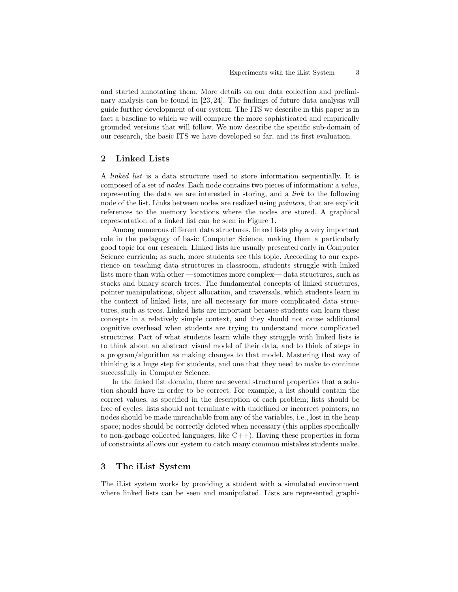and started annotating them. More details on our data collection and preliminary analysis can be found in [23, 24]. The findings of future data analysis will guide further development of our system. The ITS we describe in this paper is in fact a baseline to which we will compare the more sophisticated and empirically grounded versions that will follow. We now describe the specific sub-domain of our research, the basic ITS we have developed so far, and its first evaluation.

### 2 Linked Lists

A linked list is a data structure used to store information sequentially. It is composed of a set of nodes. Each node contains two pieces of information: a value, representing the data we are interested in storing, and a link to the following node of the list. Links between nodes are realized using pointers, that are explicit references to the memory locations where the nodes are stored. A graphical representation of a linked list can be seen in Figure 1.

Among numerous different data structures, linked lists play a very important role in the pedagogy of basic Computer Science, making them a particularly good topic for our research. Linked lists are usually presented early in Computer Science curricula; as such, more students see this topic. According to our experience on teaching data structures in classroom, students struggle with linked lists more than with other —sometimes more complex— data structures, such as stacks and binary search trees. The fundamental concepts of linked structures, pointer manipulations, object allocation, and traversals, which students learn in the context of linked lists, are all necessary for more complicated data structures, such as trees. Linked lists are important because students can learn these concepts in a relatively simple context, and they should not cause additional cognitive overhead when students are trying to understand more complicated structures. Part of what students learn while they struggle with linked lists is to think about an abstract visual model of their data, and to think of steps in a program/algorithm as making changes to that model. Mastering that way of thinking is a huge step for students, and one that they need to make to continue successfully in Computer Science.

In the linked list domain, there are several structural properties that a solution should have in order to be correct. For example, a list should contain the correct values, as specified in the description of each problem; lists should be free of cycles; lists should not terminate with undefined or incorrect pointers; no nodes should be made unreachable from any of the variables, i.e., lost in the heap space; nodes should be correctly deleted when necessary (this applies specifically to non-garbage collected languages, like  $C_{++}$ ). Having these properties in form of constraints allows our system to catch many common mistakes students make.

## 3 The iList System

The iList system works by providing a student with a simulated environment where linked lists can be seen and manipulated. Lists are represented graphi-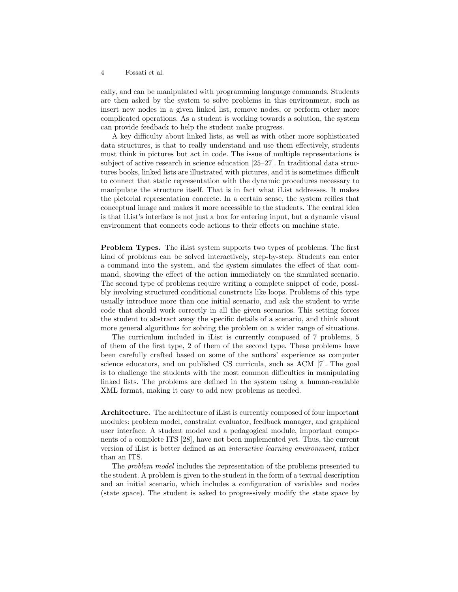cally, and can be manipulated with programming language commands. Students are then asked by the system to solve problems in this environment, such as insert new nodes in a given linked list, remove nodes, or perform other more complicated operations. As a student is working towards a solution, the system can provide feedback to help the student make progress.

A key difficulty about linked lists, as well as with other more sophisticated data structures, is that to really understand and use them effectively, students must think in pictures but act in code. The issue of multiple representations is subject of active research in science education [25–27]. In traditional data structures books, linked lists are illustrated with pictures, and it is sometimes difficult to connect that static representation with the dynamic procedures necessary to manipulate the structure itself. That is in fact what iList addresses. It makes the pictorial representation concrete. In a certain sense, the system reifies that conceptual image and makes it more accessible to the students. The central idea is that iList's interface is not just a box for entering input, but a dynamic visual environment that connects code actions to their effects on machine state.

Problem Types. The iList system supports two types of problems. The first kind of problems can be solved interactively, step-by-step. Students can enter a command into the system, and the system simulates the effect of that command, showing the effect of the action immediately on the simulated scenario. The second type of problems require writing a complete snippet of code, possibly involving structured conditional constructs like loops. Problems of this type usually introduce more than one initial scenario, and ask the student to write code that should work correctly in all the given scenarios. This setting forces the student to abstract away the specific details of a scenario, and think about more general algorithms for solving the problem on a wider range of situations.

The curriculum included in iList is currently composed of 7 problems, 5 of them of the first type, 2 of them of the second type. These problems have been carefully crafted based on some of the authors' experience as computer science educators, and on published CS curricula, such as ACM [7]. The goal is to challenge the students with the most common difficulties in manipulating linked lists. The problems are defined in the system using a human-readable XML format, making it easy to add new problems as needed.

Architecture. The architecture of iList is currently composed of four important modules: problem model, constraint evaluator, feedback manager, and graphical user interface. A student model and a pedagogical module, important components of a complete ITS [28], have not been implemented yet. Thus, the current version of iList is better defined as an interactive learning environment, rather than an ITS.

The problem model includes the representation of the problems presented to the student. A problem is given to the student in the form of a textual description and an initial scenario, which includes a configuration of variables and nodes (state space). The student is asked to progressively modify the state space by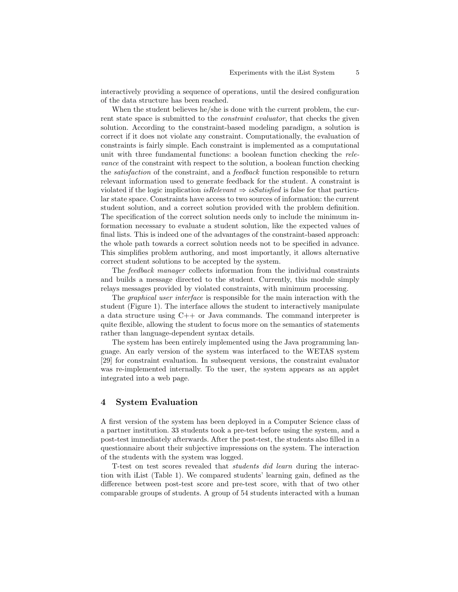interactively providing a sequence of operations, until the desired configuration of the data structure has been reached.

When the student believes he/she is done with the current problem, the current state space is submitted to the *constraint evaluator*, that checks the given solution. According to the constraint-based modeling paradigm, a solution is correct if it does not violate any constraint. Computationally, the evaluation of constraints is fairly simple. Each constraint is implemented as a computational unit with three fundamental functions: a boolean function checking the relevance of the constraint with respect to the solution, a boolean function checking the satisfaction of the constraint, and a feedback function responsible to return relevant information used to generate feedback for the student. A constraint is violated if the logic implication isRelevant  $\Rightarrow$  isSatisfied is false for that particular state space. Constraints have access to two sources of information: the current student solution, and a correct solution provided with the problem definition. The specification of the correct solution needs only to include the minimum information necessary to evaluate a student solution, like the expected values of final lists. This is indeed one of the advantages of the constraint-based approach: the whole path towards a correct solution needs not to be specified in advance. This simplifies problem authoring, and most importantly, it allows alternative correct student solutions to be accepted by the system.

The feedback manager collects information from the individual constraints and builds a message directed to the student. Currently, this module simply relays messages provided by violated constraints, with minimum processing.

The graphical user interface is responsible for the main interaction with the student (Figure 1). The interface allows the student to interactively manipulate a data structure using  $C++$  or Java commands. The command interpreter is quite flexible, allowing the student to focus more on the semantics of statements rather than language-dependent syntax details.

The system has been entirely implemented using the Java programming language. An early version of the system was interfaced to the WETAS system [29] for constraint evaluation. In subsequent versions, the constraint evaluator was re-implemented internally. To the user, the system appears as an applet integrated into a web page.

## 4 System Evaluation

A first version of the system has been deployed in a Computer Science class of a partner institution. 33 students took a pre-test before using the system, and a post-test immediately afterwards. After the post-test, the students also filled in a questionnaire about their subjective impressions on the system. The interaction of the students with the system was logged.

T-test on test scores revealed that students did learn during the interaction with iList (Table 1). We compared students' learning gain, defined as the difference between post-test score and pre-test score, with that of two other comparable groups of students. A group of 54 students interacted with a human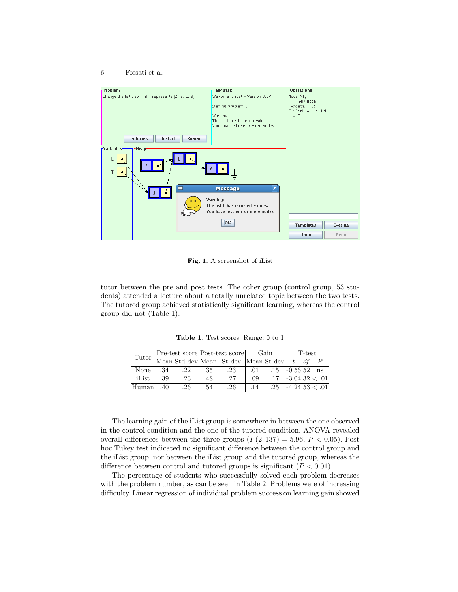

Fig. 1. A screenshot of iList

tutor between the pre and post tests. The other group (control group, 53 students) attended a lecture about a totally unrelated topic between the two tests. The tutored group achieved statistically significant learning, whereas the control group did not (Table 1).

Table 1. Test scores. Range: 0 to 1

| Tutor   |     |         | Pre-test score Post-test score |                                        | Gain |     | T-test             |  |                   |
|---------|-----|---------|--------------------------------|----------------------------------------|------|-----|--------------------|--|-------------------|
|         |     |         |                                | Mean Std dev Mean St dev Mean St dev t |      |     |                    |  |                   |
| None    | .34 | .22     | .35                            | .23                                    | .01  |     | $.15$ $ -0.56 52 $ |  | ns                |
| iList   | .39 | .23     | .48                            | .27                                    | .09  | .17 |                    |  | $ -3.04 32 <.01 $ |
| [Human] | .40 | $.26\,$ | .54                            | .26                                    | .14  | .25 |                    |  | $ -4.24 53 <.01 $ |

The learning gain of the iList group is somewhere in between the one observed in the control condition and the one of the tutored condition. ANOVA revealed overall differences between the three groups  $(F(2, 137) = 5.96, P < 0.05)$ . Post hoc Tukey test indicated no significant difference between the control group and the iList group, nor between the iList group and the tutored group, whereas the difference between control and tutored groups is significant  $(P < 0.01)$ .

The percentage of students who successfully solved each problem decreases with the problem number, as can be seen in Table 2. Problems were of increasing difficulty. Linear regression of individual problem success on learning gain showed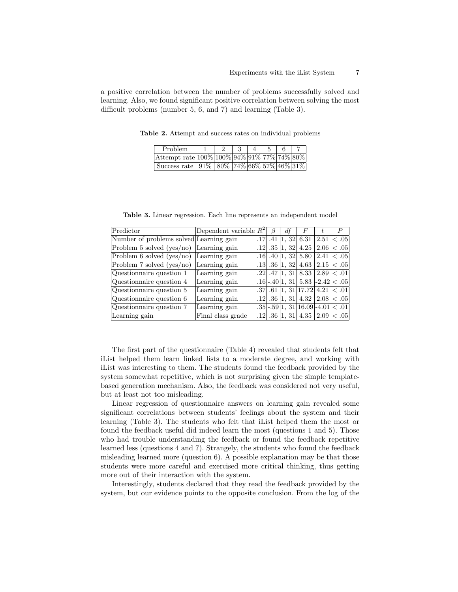a positive correlation between the number of problems successfully solved and learning. Also, we found significant positive correlation between solving the most difficult problems (number 5, 6, and 7) and learning (Table 3).

| Problem                                                                     |  |  |  |  |
|-----------------------------------------------------------------------------|--|--|--|--|
| Attempt rate 100% 100% 94% 91% 77% 74% 80%                                  |  |  |  |  |
| Success rate   $91\%$   $80\%$   $74\%$   $66\%$   $57\%$   $46\%$   $31\%$ |  |  |  |  |

Table 2. Attempt and success rates on individual problems

| Predictor                                 | Dependent variable $R^2$ |                  |                  | df                 | F                               |      |                |
|-------------------------------------------|--------------------------|------------------|------------------|--------------------|---------------------------------|------|----------------|
| Number of problems solved Learning gain   |                          | .17 <sub>l</sub> | .41              | 1, 32   6.31       |                                 | 2.51 | <.05           |
| $\sqrt{\text{Problem 5}}$ solved (yes/no) | Learning gain            | .12 <sub>1</sub> |                  | .35 1, 32          | 4.25                            | 2.06 | <.05           |
| Problem 6 solved $(yes/no)$               | Learning gain            | .16 <sub>1</sub> | .40 <sub>1</sub> | 1.<br>32           | 5.80                            | 2.41 | <.05           |
| Problem 7 solved (yes/no)                 | Learning gain            |                  | .13  .36         | 1, 32              | 4.63                            | 2.15 | <.05           |
| Questionnaire question 1                  | Learning gain            | .221             |                  | .47 1, 31          | 8.33                            | 2.89 | <.01           |
| Questionnaire question 4                  | Learning gain            |                  |                  |                    | $.16$ - $.40$  1, 31  5.83      |      | $ -2.42 <.05 $ |
| Questionnaire question 5                  | Learning gain            | .371             |                  |                    | $.61 \,   1, 31 \,   17.72  $   | 4.21 | <.01           |
| Questionnaire question 6                  | Learning gain            | .12 <sub>1</sub> |                  | .36 1, 31          | 4.32                            | 2.08 | <.05           |
| Questionnaire question 7                  | Learning gain            |                  |                  |                    | $.35[-.59]1, 31[16.09] - 4.01]$ |      | <.01           |
| Learning gain                             | Final class grade        |                  |                  | .12 .36 1, 31 4.35 |                                 | 2.09 | <.05           |

Table 3. Linear regression. Each line represents an independent model

The first part of the questionnaire (Table 4) revealed that students felt that iList helped them learn linked lists to a moderate degree, and working with iList was interesting to them. The students found the feedback provided by the system somewhat repetitive, which is not surprising given the simple templatebased generation mechanism. Also, the feedback was considered not very useful, but at least not too misleading.

Linear regression of questionnaire answers on learning gain revealed some significant correlations between students' feelings about the system and their learning (Table 3). The students who felt that iList helped them the most or found the feedback useful did indeed learn the most (questions 1 and 5). Those who had trouble understanding the feedback or found the feedback repetitive learned less (questions 4 and 7). Strangely, the students who found the feedback misleading learned more (question  $6$ ). A possible explanation may be that those students were more careful and exercised more critical thinking, thus getting more out of their interaction with the system.

Interestingly, students declared that they read the feedback provided by the system, but our evidence points to the opposite conclusion. From the log of the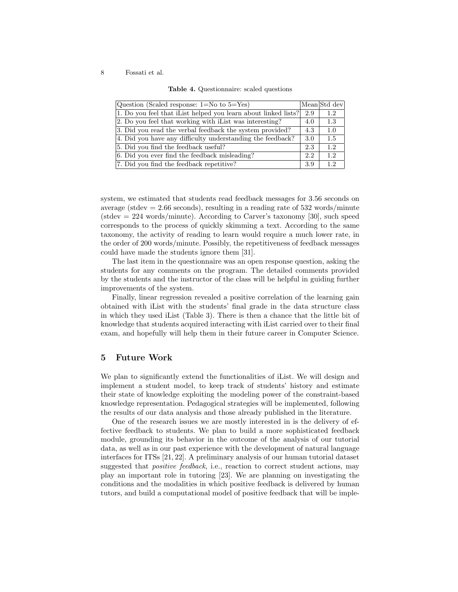| <b>Table 4.</b> Questionnaire: scaled questions |  |
|-------------------------------------------------|--|
|                                                 |  |

| Question (Scaled response: $1=No$ to $5=Yes$ )                 |     | Mean Std dev |
|----------------------------------------------------------------|-----|--------------|
| 1. Do you feel that iList helped you learn about linked lists? | 2.9 | 1.2.         |
| 2. Do you feel that working with iList was interesting?        | 4.0 | 1.3          |
| 3. Did you read the verbal feedback the system provided?       | 4.3 | 1.0          |
| 4. Did you have any difficulty understanding the feedback?     | 3.0 | 1.5          |
| 5. Did you find the feedback useful?                           | 2.3 | 1.2          |
| 6. Did you ever find the feedback misleading?                  | 2.2 | 1.2          |
| 7. Did you find the feedback repetitive?                       | 3.9 | 1.2          |

system, we estimated that students read feedback messages for 3.56 seconds on average (stdev  $= 2.66$  seconds), resulting in a reading rate of 532 words/minute  $(\text{stdev} = 224 \text{ words/minute})$ . According to Carver's taxonomy [30], such speed corresponds to the process of quickly skimming a text. According to the same taxonomy, the activity of reading to learn would require a much lower rate, in the order of 200 words/minute. Possibly, the repetitiveness of feedback messages could have made the students ignore them [31].

The last item in the questionnaire was an open response question, asking the students for any comments on the program. The detailed comments provided by the students and the instructor of the class will be helpful in guiding further improvements of the system.

Finally, linear regression revealed a positive correlation of the learning gain obtained with iList with the students' final grade in the data structure class in which they used iList (Table 3). There is then a chance that the little bit of knowledge that students acquired interacting with iList carried over to their final exam, and hopefully will help them in their future career in Computer Science.

# 5 Future Work

We plan to significantly extend the functionalities of iList. We will design and implement a student model, to keep track of students' history and estimate their state of knowledge exploiting the modeling power of the constraint-based knowledge representation. Pedagogical strategies will be implemented, following the results of our data analysis and those already published in the literature.

One of the research issues we are mostly interested in is the delivery of effective feedback to students. We plan to build a more sophisticated feedback module, grounding its behavior in the outcome of the analysis of our tutorial data, as well as in our past experience with the development of natural language interfaces for ITSs [21, 22]. A preliminary analysis of our human tutorial dataset suggested that positive feedback, i.e., reaction to correct student actions, may play an important role in tutoring [23]. We are planning on investigating the conditions and the modalities in which positive feedback is delivered by human tutors, and build a computational model of positive feedback that will be imple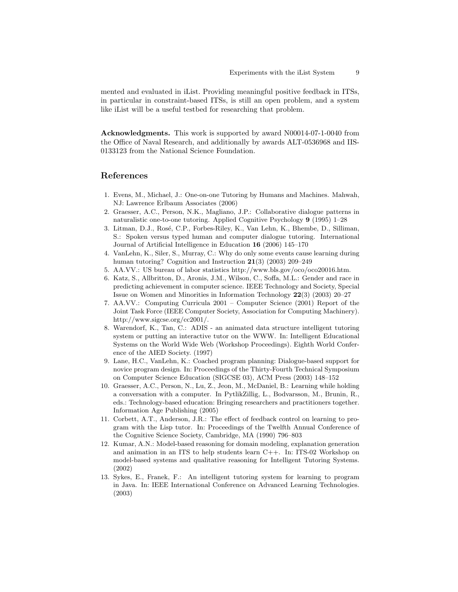mented and evaluated in iList. Providing meaningful positive feedback in ITSs, in particular in constraint-based ITSs, is still an open problem, and a system like iList will be a useful testbed for researching that problem.

Acknowledgments. This work is supported by award N00014-07-1-0040 from the Office of Naval Research, and additionally by awards ALT-0536968 and IIS-0133123 from the National Science Foundation.

## References

- 1. Evens, M., Michael, J.: One-on-one Tutoring by Humans and Machines. Mahwah, NJ: Lawrence Erlbaum Associates (2006)
- 2. Graesser, A.C., Person, N.K., Magliano, J.P.: Collaborative dialogue patterns in naturalistic one-to-one tutoring. Applied Cognitive Psychology 9 (1995) 1–28
- 3. Litman, D.J., Rosé, C.P., Forbes-Riley, K., Van Lehn, K., Bhembe, D., Silliman, S.: Spoken versus typed human and computer dialogue tutoring. International Journal of Artificial Intelligence in Education 16 (2006) 145–170
- 4. VanLehn, K., Siler, S., Murray, C.: Why do only some events cause learning during human tutoring? Cognition and Instruction 21(3) (2003) 209–249
- 5. AA.VV.: US bureau of labor statistics http://www.bls.gov/oco/oco20016.htm.
- 6. Katz, S., Allbritton, D., Aronis, J.M., Wilson, C., Soffa, M.L.: Gender and race in predicting achievement in computer science. IEEE Technology and Society, Special Issue on Women and Minorities in Information Technology 22(3) (2003) 20–27
- 7. AA.VV.: Computing Curricula 2001 Computer Science (2001) Report of the Joint Task Force (IEEE Computer Society, Association for Computing Machinery). http://www.sigcse.org/cc2001/.
- 8. Warendorf, K., Tan, C.: ADIS an animated data structure intelligent tutoring system or putting an interactive tutor on the WWW. In: Intelligent Educational Systems on the World Wide Web (Workshop Proceedings). Eighth World Conference of the AIED Society. (1997)
- 9. Lane, H.C., VanLehn, K.: Coached program planning: Dialogue-based support for novice program design. In: Proceedings of the Thirty-Fourth Technical Symposium on Computer Science Education (SIGCSE 03), ACM Press (2003) 148–152
- 10. Graesser, A.C., Person, N., Lu, Z., Jeon, M., McDaniel, B.: Learning while holding a conversation with a computer. In PytlikZillig, L., Bodvarsson, M., Brunin, R., eds.: Technology-based education: Bringing researchers and practitioners together. Information Age Publishing (2005)
- 11. Corbett, A.T., Anderson, J.R.: The effect of feedback control on learning to program with the Lisp tutor. In: Proceedings of the Twelfth Annual Conference of the Cognitive Science Society, Cambridge, MA (1990) 796–803
- 12. Kumar, A.N.: Model-based reasoning for domain modeling, explanation generation and animation in an ITS to help students learn C++. In: ITS-02 Workshop on model-based systems and qualitative reasoning for Intelligent Tutoring Systems. (2002)
- 13. Sykes, E., Franek, F.: An intelligent tutoring system for learning to program in Java. In: IEEE International Conference on Advanced Learning Technologies. (2003)